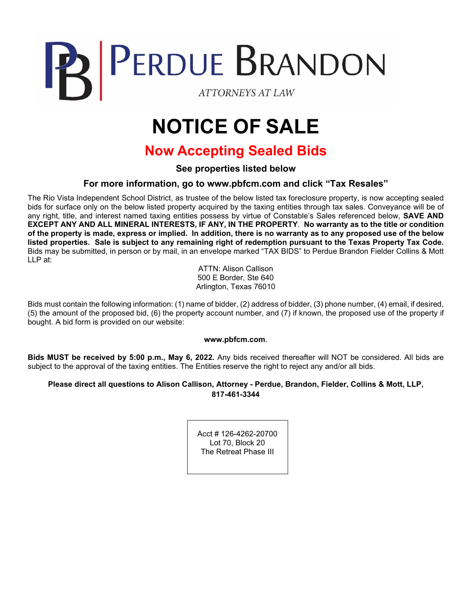# PERDUE BRANDON **ATTORNEYS AT LAW**

# **NOTICE OF SALE**

## **Now Accepting Sealed Bids**

**See properties listed below**

#### **For more information, go to www.pbfcm.com and click "Tax Resales"**

The Rio Vista Independent School District, as trustee of the below listed tax foreclosure property, is now accepting sealed bids for surface only on the below listed property acquired by the taxing entities through tax sales. Conveyance will be of any right, title, and interest named taxing entities possess by virtue of Constable's Sales referenced below, **SAVE AND EXCEPT ANY AND ALL MINERAL INTERESTS, IF ANY, IN THE PROPERTY**. **No warranty as to the title or condition of the property is made, express or implied. In addition, there is no warranty as to any proposed use of the below listed properties. Sale is subject to any remaining right of redemption pursuant to the Texas Property Tax Code.**  Bids may be submitted, in person or by mail, in an envelope marked "TAX BIDS" to Perdue Brandon Fielder Collins & Mott LLP at:

> ATTN: Alison Callison 500 E Border, Ste 640 Arlington, Texas 76010

Bids must contain the following information: (1) name of bidder, (2) address of bidder, (3) phone number, (4) email, if desired, (5) the amount of the proposed bid, (6) the property account number, and (7) if known, the proposed use of the property if bought. A bid form is provided on our website:

#### **www.pbfcm.com**.

**Bids MUST be received by 5:00 p.m., May 6, 2022.** Any bids received thereafter will NOT be considered. All bids are subject to the approval of the taxing entities. The Entities reserve the right to reject any and/or all bids.

#### **Please direct all questions to Alison Callison, Attorney - Perdue, Brandon, Fielder, Collins & Mott, LLP, 817-461-3344**

Acct # 126-4262-20700 Lot 70, Block 20 The Retreat Phase III